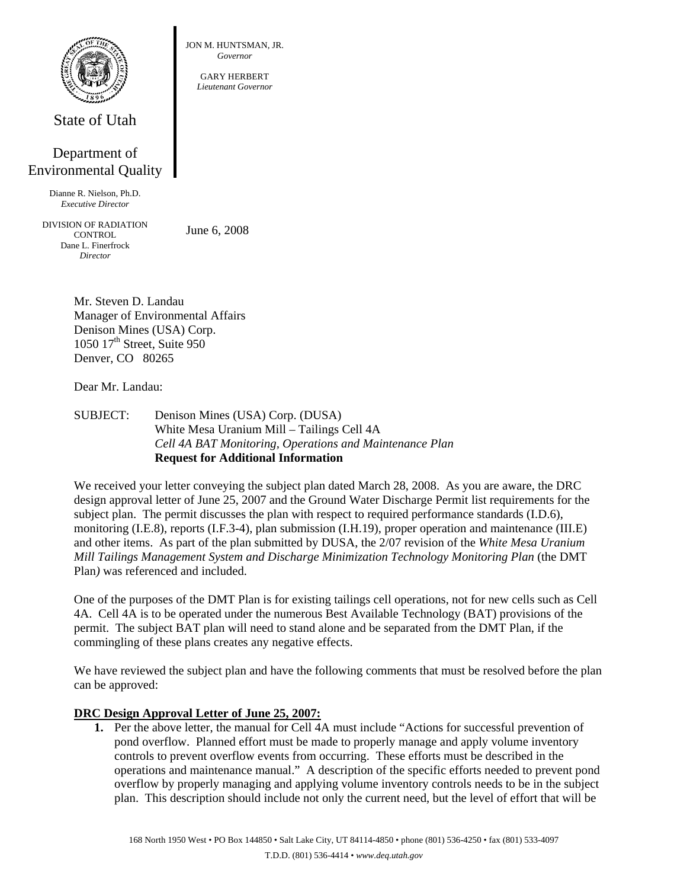

State of Utah

# Department of Environmental Quality

Dianne R. Nielson, Ph.D. *Executive Director* 

DIVISION OF RADIATION **CONTROL** Dane L. Finerfrock *Director* 

June 6, 2008

JON M. HUNTSMAN, JR. *Governor*  GARY HERBERT *Lieutenant Governor*

Mr. Steven D. Landau Manager of Environmental Affairs Denison Mines (USA) Corp. 1050 17<sup>th</sup> Street, Suite 950 Denver, CO 80265

Dear Mr. Landau:

SUBJECT: Denison Mines (USA) Corp. (DUSA) White Mesa Uranium Mill – Tailings Cell 4A *Cell 4A BAT Monitoring, Operations and Maintenance Plan* **Request for Additional Information** 

We received your letter conveying the subject plan dated March 28, 2008. As you are aware, the DRC design approval letter of June 25, 2007 and the Ground Water Discharge Permit list requirements for the subject plan. The permit discusses the plan with respect to required performance standards (I.D.6), monitoring (I.E.8), reports (I.F.3-4), plan submission (I.H.19), proper operation and maintenance (III.E) and other items. As part of the plan submitted by DUSA, the 2/07 revision of the *White Mesa Uranium Mill Tailings Management System and Discharge Minimization Technology Monitoring Plan* (the DMT Plan*)* was referenced and included.

One of the purposes of the DMT Plan is for existing tailings cell operations, not for new cells such as Cell 4A. Cell 4A is to be operated under the numerous Best Available Technology (BAT) provisions of the permit. The subject BAT plan will need to stand alone and be separated from the DMT Plan, if the commingling of these plans creates any negative effects.

We have reviewed the subject plan and have the following comments that must be resolved before the plan can be approved:

# **DRC Design Approval Letter of June 25, 2007:**

**1.** Per the above letter, the manual for Cell 4A must include "Actions for successful prevention of pond overflow. Planned effort must be made to properly manage and apply volume inventory controls to prevent overflow events from occurring. These efforts must be described in the operations and maintenance manual." A description of the specific efforts needed to prevent pond overflow by properly managing and applying volume inventory controls needs to be in the subject plan. This description should include not only the current need, but the level of effort that will be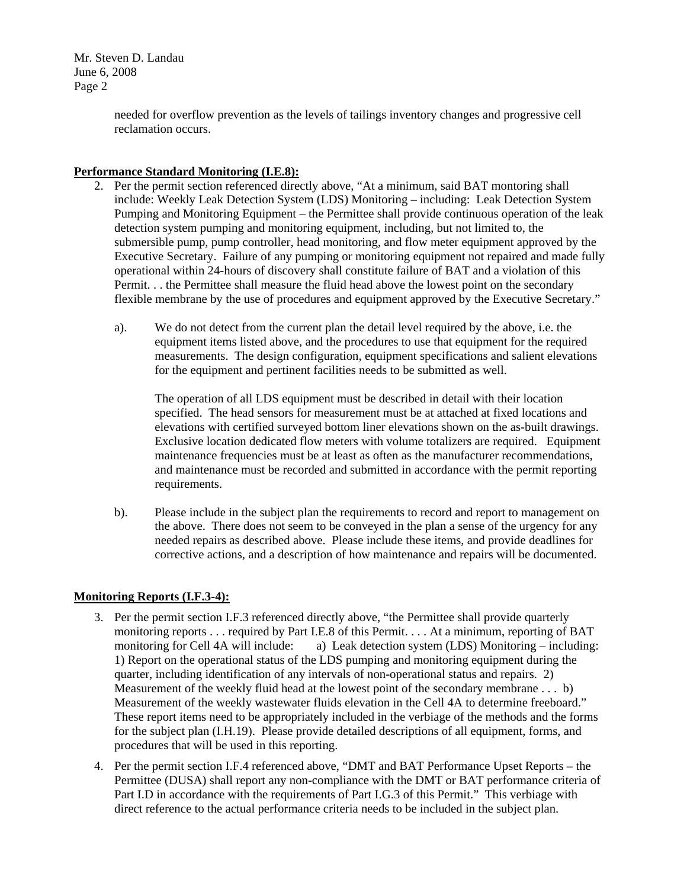> needed for overflow prevention as the levels of tailings inventory changes and progressive cell reclamation occurs.

### **Performance Standard Monitoring (I.E.8):**

- 2. Per the permit section referenced directly above, "At a minimum, said BAT montoring shall include: Weekly Leak Detection System (LDS) Monitoring – including: Leak Detection System Pumping and Monitoring Equipment – the Permittee shall provide continuous operation of the leak detection system pumping and monitoring equipment, including, but not limited to, the submersible pump, pump controller, head monitoring, and flow meter equipment approved by the Executive Secretary. Failure of any pumping or monitoring equipment not repaired and made fully operational within 24-hours of discovery shall constitute failure of BAT and a violation of this Permit. . . the Permittee shall measure the fluid head above the lowest point on the secondary flexible membrane by the use of procedures and equipment approved by the Executive Secretary."
	- a). We do not detect from the current plan the detail level required by the above, i.e. the equipment items listed above, and the procedures to use that equipment for the required measurements. The design configuration, equipment specifications and salient elevations for the equipment and pertinent facilities needs to be submitted as well.

 The operation of all LDS equipment must be described in detail with their location specified. The head sensors for measurement must be at attached at fixed locations and elevations with certified surveyed bottom liner elevations shown on the as-built drawings. Exclusive location dedicated flow meters with volume totalizers are required. Equipment maintenance frequencies must be at least as often as the manufacturer recommendations, and maintenance must be recorded and submitted in accordance with the permit reporting requirements.

b). Please include in the subject plan the requirements to record and report to management on the above. There does not seem to be conveyed in the plan a sense of the urgency for any needed repairs as described above. Please include these items, and provide deadlines for corrective actions, and a description of how maintenance and repairs will be documented.

# **Monitoring Reports (I.F.3-4):**

- 3. Per the permit section I.F.3 referenced directly above, "the Permittee shall provide quarterly monitoring reports . . . required by Part I.E.8 of this Permit. . . . At a minimum, reporting of BAT monitoring for Cell 4A will include: a) Leak detection system (LDS) Monitoring – including: 1) Report on the operational status of the LDS pumping and monitoring equipment during the quarter, including identification of any intervals of non-operational status and repairs. 2) Measurement of the weekly fluid head at the lowest point of the secondary membrane . . . b) Measurement of the weekly wastewater fluids elevation in the Cell 4A to determine freeboard." These report items need to be appropriately included in the verbiage of the methods and the forms for the subject plan (I.H.19). Please provide detailed descriptions of all equipment, forms, and procedures that will be used in this reporting.
- 4. Per the permit section I.F.4 referenced above, "DMT and BAT Performance Upset Reports the Permittee (DUSA) shall report any non-compliance with the DMT or BAT performance criteria of Part I.D in accordance with the requirements of Part I.G.3 of this Permit." This verbiage with direct reference to the actual performance criteria needs to be included in the subject plan.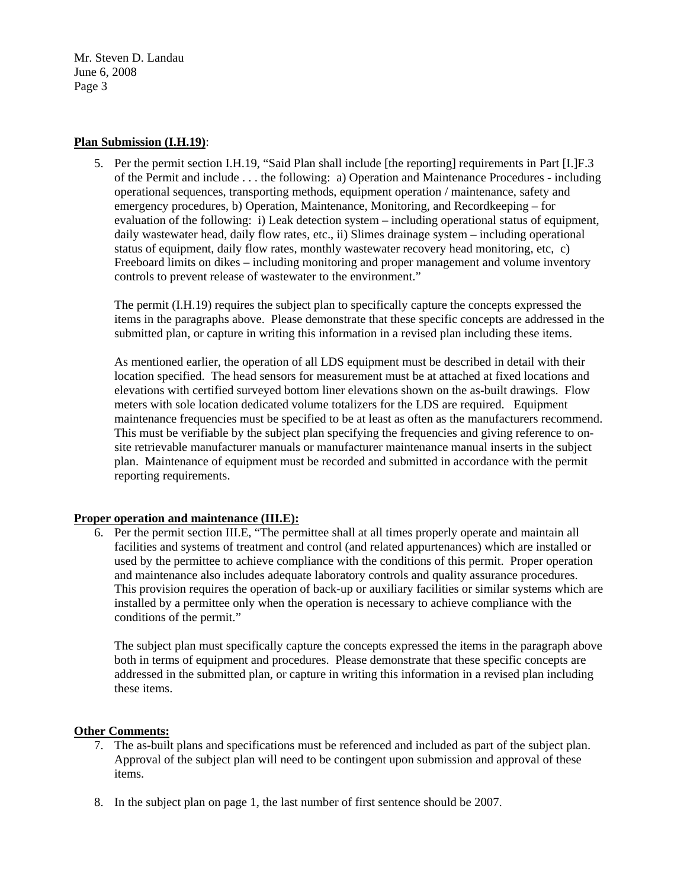#### **Plan Submission (I.H.19)**:

5. Per the permit section I.H.19, "Said Plan shall include [the reporting] requirements in Part [I.]F.3 of the Permit and include . . . the following: a) Operation and Maintenance Procedures - including operational sequences, transporting methods, equipment operation / maintenance, safety and emergency procedures, b) Operation, Maintenance, Monitoring, and Recordkeeping – for evaluation of the following: i) Leak detection system – including operational status of equipment, daily wastewater head, daily flow rates, etc., ii) Slimes drainage system – including operational status of equipment, daily flow rates, monthly wastewater recovery head monitoring, etc, c) Freeboard limits on dikes – including monitoring and proper management and volume inventory controls to prevent release of wastewater to the environment."

The permit (I.H.19) requires the subject plan to specifically capture the concepts expressed the items in the paragraphs above. Please demonstrate that these specific concepts are addressed in the submitted plan, or capture in writing this information in a revised plan including these items.

As mentioned earlier, the operation of all LDS equipment must be described in detail with their location specified. The head sensors for measurement must be at attached at fixed locations and elevations with certified surveyed bottom liner elevations shown on the as-built drawings. Flow meters with sole location dedicated volume totalizers for the LDS are required. Equipment maintenance frequencies must be specified to be at least as often as the manufacturers recommend. This must be verifiable by the subject plan specifying the frequencies and giving reference to onsite retrievable manufacturer manuals or manufacturer maintenance manual inserts in the subject plan. Maintenance of equipment must be recorded and submitted in accordance with the permit reporting requirements.

#### **Proper operation and maintenance (III.E):**

6. Per the permit section III.E, "The permittee shall at all times properly operate and maintain all facilities and systems of treatment and control (and related appurtenances) which are installed or used by the permittee to achieve compliance with the conditions of this permit. Proper operation and maintenance also includes adequate laboratory controls and quality assurance procedures. This provision requires the operation of back-up or auxiliary facilities or similar systems which are installed by a permittee only when the operation is necessary to achieve compliance with the conditions of the permit."

The subject plan must specifically capture the concepts expressed the items in the paragraph above both in terms of equipment and procedures. Please demonstrate that these specific concepts are addressed in the submitted plan, or capture in writing this information in a revised plan including these items.

## **Other Comments:**

- 7. The as-built plans and specifications must be referenced and included as part of the subject plan. Approval of the subject plan will need to be contingent upon submission and approval of these items.
- 8. In the subject plan on page 1, the last number of first sentence should be 2007.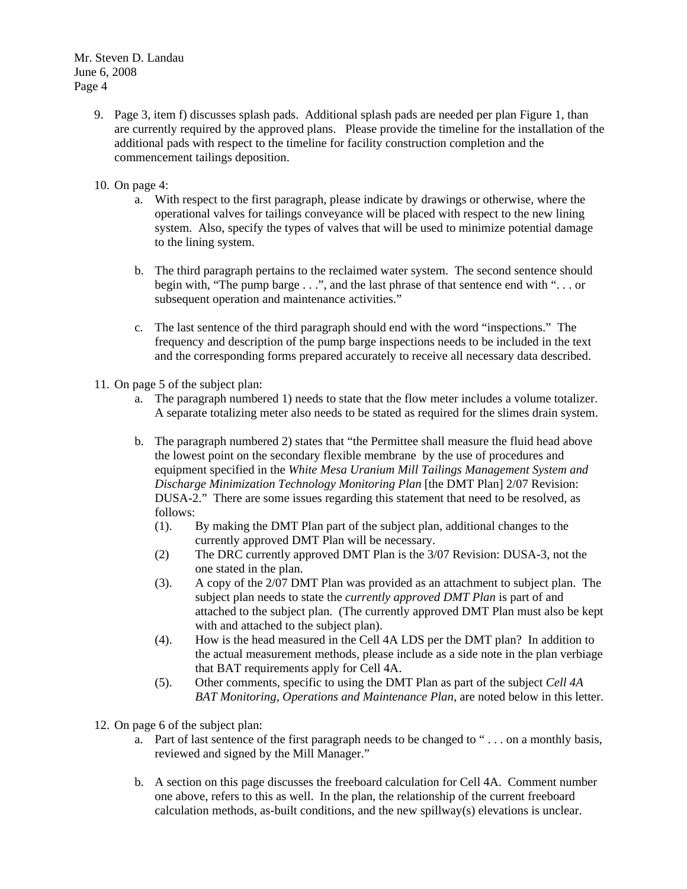- 9. Page 3, item f) discusses splash pads. Additional splash pads are needed per plan Figure 1, than are currently required by the approved plans. Please provide the timeline for the installation of the additional pads with respect to the timeline for facility construction completion and the commencement tailings deposition.
- 10. On page 4:
	- a. With respect to the first paragraph, please indicate by drawings or otherwise, where the operational valves for tailings conveyance will be placed with respect to the new lining system. Also, specify the types of valves that will be used to minimize potential damage to the lining system.
	- b. The third paragraph pertains to the reclaimed water system. The second sentence should begin with, "The pump barge . . .", and the last phrase of that sentence end with ". . . or subsequent operation and maintenance activities."
	- c. The last sentence of the third paragraph should end with the word "inspections." The frequency and description of the pump barge inspections needs to be included in the text and the corresponding forms prepared accurately to receive all necessary data described.
- 11. On page 5 of the subject plan:
	- a. The paragraph numbered 1) needs to state that the flow meter includes a volume totalizer. A separate totalizing meter also needs to be stated as required for the slimes drain system.
	- b. The paragraph numbered 2) states that "the Permittee shall measure the fluid head above the lowest point on the secondary flexible membrane by the use of procedures and equipment specified in the *White Mesa Uranium Mill Tailings Management System and Discharge Minimization Technology Monitoring Plan* [the DMT Plan] 2/07 Revision: DUSA-2." There are some issues regarding this statement that need to be resolved, as follows:
		- (1). By making the DMT Plan part of the subject plan, additional changes to the currently approved DMT Plan will be necessary.
		- (2) The DRC currently approved DMT Plan is the 3/07 Revision: DUSA-3, not the one stated in the plan.
		- (3). A copy of the 2/07 DMT Plan was provided as an attachment to subject plan. The subject plan needs to state the *currently approved DMT Plan* is part of and attached to the subject plan. (The currently approved DMT Plan must also be kept with and attached to the subject plan).
		- (4). How is the head measured in the Cell 4A LDS per the DMT plan? In addition to the actual measurement methods, please include as a side note in the plan verbiage that BAT requirements apply for Cell 4A.
		- (5). Other comments, specific to using the DMT Plan as part of the subject *Cell 4A BAT Monitoring, Operations and Maintenance Plan*, are noted below in this letter.
- 12. On page 6 of the subject plan:
	- a. Part of last sentence of the first paragraph needs to be changed to " . . . on a monthly basis, reviewed and signed by the Mill Manager."
	- b. A section on this page discusses the freeboard calculation for Cell 4A. Comment number one above, refers to this as well. In the plan, the relationship of the current freeboard calculation methods, as-built conditions, and the new spillway(s) elevations is unclear.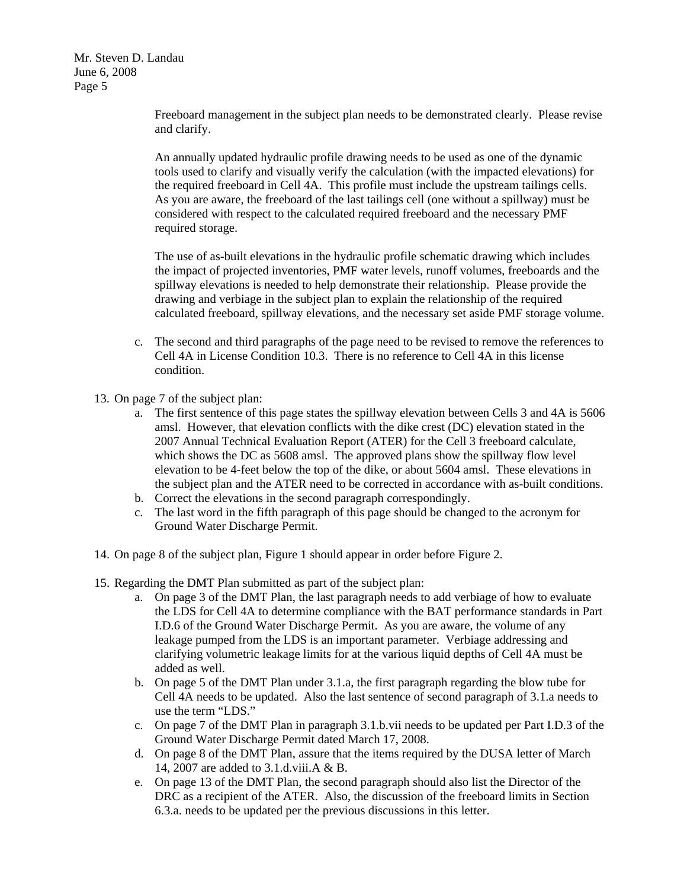> Freeboard management in the subject plan needs to be demonstrated clearly. Please revise and clarify.

An annually updated hydraulic profile drawing needs to be used as one of the dynamic tools used to clarify and visually verify the calculation (with the impacted elevations) for the required freeboard in Cell 4A. This profile must include the upstream tailings cells. As you are aware, the freeboard of the last tailings cell (one without a spillway) must be considered with respect to the calculated required freeboard and the necessary PMF required storage.

The use of as-built elevations in the hydraulic profile schematic drawing which includes the impact of projected inventories, PMF water levels, runoff volumes, freeboards and the spillway elevations is needed to help demonstrate their relationship. Please provide the drawing and verbiage in the subject plan to explain the relationship of the required calculated freeboard, spillway elevations, and the necessary set aside PMF storage volume.

- c. The second and third paragraphs of the page need to be revised to remove the references to Cell 4A in License Condition 10.3. There is no reference to Cell 4A in this license condition.
- 13. On page 7 of the subject plan:
	- a. The first sentence of this page states the spillway elevation between Cells 3 and 4A is 5606 amsl. However, that elevation conflicts with the dike crest (DC) elevation stated in the 2007 Annual Technical Evaluation Report (ATER) for the Cell 3 freeboard calculate, which shows the DC as 5608 amsl. The approved plans show the spillway flow level elevation to be 4-feet below the top of the dike, or about 5604 amsl. These elevations in the subject plan and the ATER need to be corrected in accordance with as-built conditions.
	- b. Correct the elevations in the second paragraph correspondingly.
	- c. The last word in the fifth paragraph of this page should be changed to the acronym for Ground Water Discharge Permit.
- 14. On page 8 of the subject plan, Figure 1 should appear in order before Figure 2.
- 15. Regarding the DMT Plan submitted as part of the subject plan:
	- a. On page 3 of the DMT Plan, the last paragraph needs to add verbiage of how to evaluate the LDS for Cell 4A to determine compliance with the BAT performance standards in Part I.D.6 of the Ground Water Discharge Permit. As you are aware, the volume of any leakage pumped from the LDS is an important parameter. Verbiage addressing and clarifying volumetric leakage limits for at the various liquid depths of Cell 4A must be added as well.
	- b. On page 5 of the DMT Plan under 3.1.a, the first paragraph regarding the blow tube for Cell 4A needs to be updated. Also the last sentence of second paragraph of 3.1.a needs to use the term "LDS."
	- c. On page 7 of the DMT Plan in paragraph 3.1.b.vii needs to be updated per Part I.D.3 of the Ground Water Discharge Permit dated March 17, 2008.
	- d. On page 8 of the DMT Plan, assure that the items required by the DUSA letter of March 14, 2007 are added to 3.1.d.viii.A & B.
	- e. On page 13 of the DMT Plan, the second paragraph should also list the Director of the DRC as a recipient of the ATER. Also, the discussion of the freeboard limits in Section 6.3.a. needs to be updated per the previous discussions in this letter.